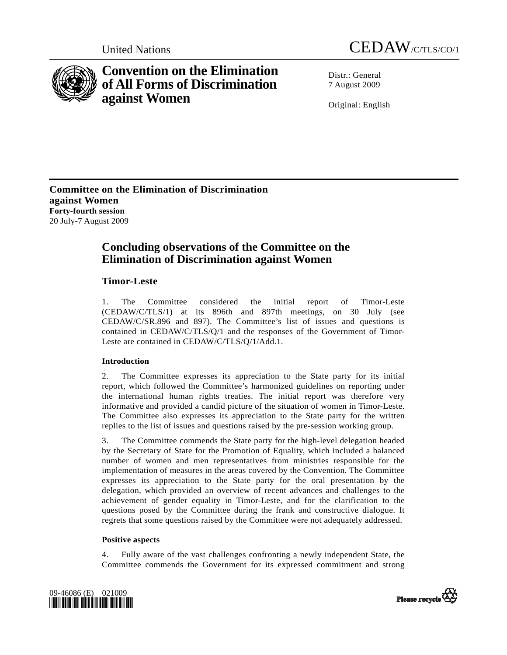



# **Convention on the Elimination of All Forms of Discrimination against Women**

Distr · General 7 August 2009

Original: English

**Committee on the Elimination of Discrimination against Women Forty-fourth session**  20 July-7 August 2009

## **Concluding observations of the Committee on the Elimination of Discrimination against Women**

## **Timor-Leste**

1. The Committee considered the initial report of Timor-Leste (CEDAW/C/TLS/1) at its 896th and 897th meetings, on 30 July (see CEDAW/C/SR.896 and 897). The Committee's list of issues and questions is contained in CEDAW/C/TLS/Q/1 and the responses of the Government of Timor-Leste are contained in CEDAW/C/TLS/Q/1/Add.1.

## **Introduction**

2. The Committee expresses its appreciation to the State party for its initial report, which followed the Committee's harmonized guidelines on reporting under the international human rights treaties. The initial report was therefore very informative and provided a candid picture of the situation of women in Timor-Leste. The Committee also expresses its appreciation to the State party for the written replies to the list of issues and questions raised by the pre-session working group.

3. The Committee commends the State party for the high-level delegation headed by the Secretary of State for the Promotion of Equality, which included a balanced number of women and men representatives from ministries responsible for the implementation of measures in the areas covered by the Convention. The Committee expresses its appreciation to the State party for the oral presentation by the delegation, which provided an overview of recent advances and challenges to the achievement of gender equality in Timor-Leste, and for the clarification to the questions posed by the Committee during the frank and constructive dialogue. It regrets that some questions raised by the Committee were not adequately addressed.

## **Positive aspects**

4. Fully aware of the vast challenges confronting a newly independent State, the Committee commends the Government for its expressed commitment and strong



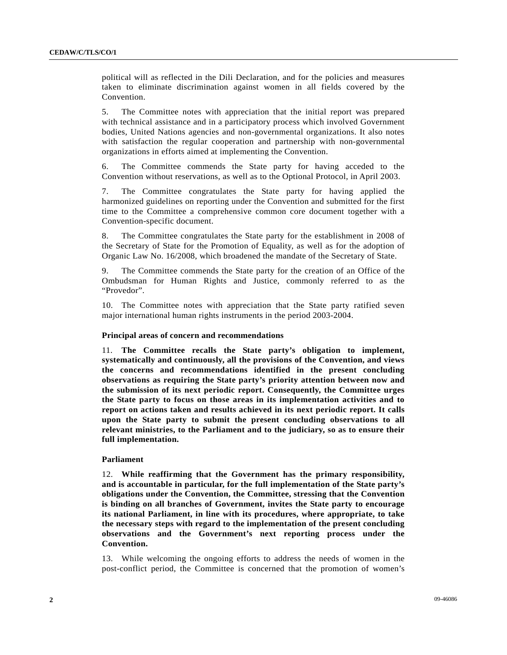political will as reflected in the Dili Declaration, and for the policies and measures taken to eliminate discrimination against women in all fields covered by the Convention.

5. The Committee notes with appreciation that the initial report was prepared with technical assistance and in a participatory process which involved Government bodies, United Nations agencies and non-governmental organizations. It also notes with satisfaction the regular cooperation and partnership with non-governmental organizations in efforts aimed at implementing the Convention.

6. The Committee commends the State party for having acceded to the Convention without reservations, as well as to the Optional Protocol, in April 2003.

7. The Committee congratulates the State party for having applied the harmonized guidelines on reporting under the Convention and submitted for the first time to the Committee a comprehensive common core document together with a Convention-specific document.

8. The Committee congratulates the State party for the establishment in 2008 of the Secretary of State for the Promotion of Equality, as well as for the adoption of Organic Law No. 16/2008, which broadened the mandate of the Secretary of State.

9. The Committee commends the State party for the creation of an Office of the Ombudsman for Human Rights and Justice, commonly referred to as the "Provedor".

10. The Committee notes with appreciation that the State party ratified seven major international human rights instruments in the period 2003-2004.

## **Principal areas of concern and recommendations**

11. **The Committee recalls the State party's obligation to implement, systematically and continuously, all the provisions of the Convention, and views the concerns and recommendations identified in the present concluding observations as requiring the State party's priority attention between now and the submission of its next periodic report. Consequently, the Committee urges the State party to focus on those areas in its implementation activities and to report on actions taken and results achieved in its next periodic report. It calls upon the State party to submit the present concluding observations to all relevant ministries, to the Parliament and to the judiciary, so as to ensure their full implementation.**

## **Parliament**

12. **While reaffirming that the Government has the primary responsibility, and is accountable in particular, for the full implementation of the State party's obligations under the Convention, the Committee, stressing that the Convention is binding on all branches of Government, invites the State party to encourage its national Parliament, in line with its procedures, where appropriate, to take the necessary steps with regard to the implementation of the present concluding observations and the Government's next reporting process under the Convention.**

13. While welcoming the ongoing efforts to address the needs of women in the post-conflict period, the Committee is concerned that the promotion of women's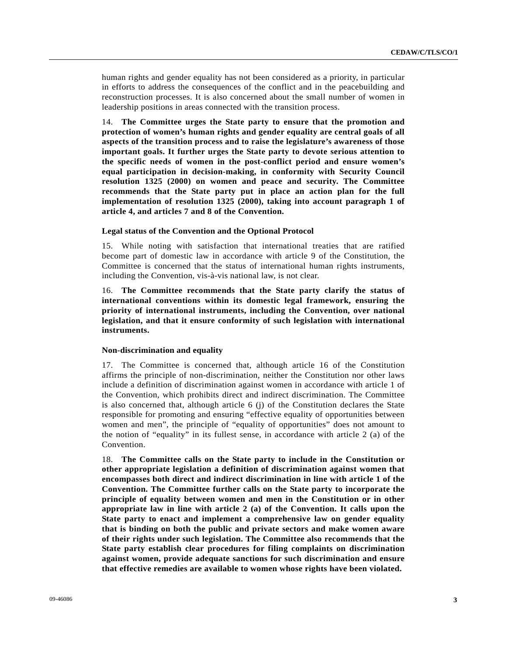human rights and gender equality has not been considered as a priority, in particular in efforts to address the consequences of the conflict and in the peacebuilding and reconstruction processes. It is also concerned about the small number of women in leadership positions in areas connected with the transition process.

14. **The Committee urges the State party to ensure that the promotion and protection of women's human rights and gender equality are central goals of all aspects of the transition process and to raise the legislature's awareness of those important goals. It further urges the State party to devote serious attention to the specific needs of women in the post-conflict period and ensure women's equal participation in decision-making, in conformity with Security Council resolution 1325 (2000) on women and peace and security. The Committee recommends that the State party put in place an action plan for the full implementation of resolution 1325 (2000), taking into account paragraph 1 of article 4, and articles 7 and 8 of the Convention.**

## **Legal status of the Convention and the Optional Protocol**

15. While noting with satisfaction that international treaties that are ratified become part of domestic law in accordance with article 9 of the Constitution, the Committee is concerned that the status of international human rights instruments, including the Convention, vis-à-vis national law, is not clear.

16. **The Committee recommends that the State party clarify the status of international conventions within its domestic legal framework, ensuring the priority of international instruments, including the Convention, over national legislation, and that it ensure conformity of such legislation with international instruments.**

## **Non-discrimination and equality**

17. The Committee is concerned that, although article 16 of the Constitution affirms the principle of non-discrimination, neither the Constitution nor other laws include a definition of discrimination against women in accordance with article 1 of the Convention, which prohibits direct and indirect discrimination. The Committee is also concerned that, although article  $6$  (j) of the Constitution declares the State responsible for promoting and ensuring "effective equality of opportunities between women and men", the principle of "equality of opportunities" does not amount to the notion of "equality" in its fullest sense, in accordance with article 2 (a) of the Convention.

18. **The Committee calls on the State party to include in the Constitution or other appropriate legislation a definition of discrimination against women that encompasses both direct and indirect discrimination in line with article 1 of the Convention. The Committee further calls on the State party to incorporate the principle of equality between women and men in the Constitution or in other appropriate law in line with article 2 (a) of the Convention. It calls upon the State party to enact and implement a comprehensive law on gender equality that is binding on both the public and private sectors and make women aware of their rights under such legislation. The Committee also recommends that the State party establish clear procedures for filing complaints on discrimination against women, provide adequate sanctions for such discrimination and ensure that effective remedies are available to women whose rights have been violated.**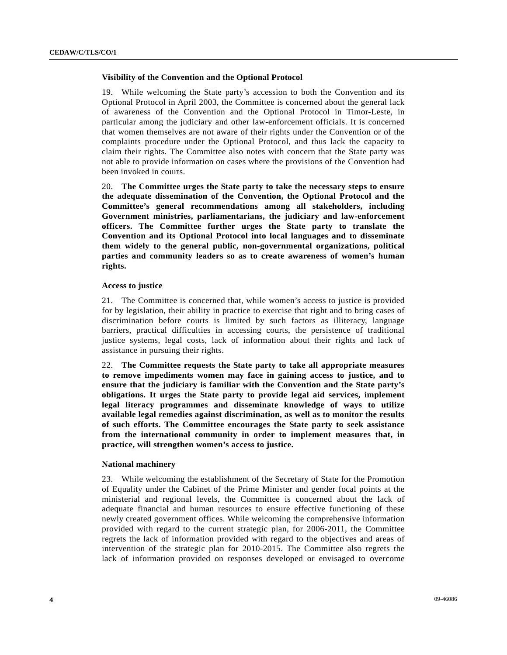## **Visibility of the Convention and the Optional Protocol**

19. While welcoming the State party's accession to both the Convention and its Optional Protocol in April 2003, the Committee is concerned about the general lack of awareness of the Convention and the Optional Protocol in Timor-Leste, in particular among the judiciary and other law-enforcement officials. It is concerned that women themselves are not aware of their rights under the Convention or of the complaints procedure under the Optional Protocol, and thus lack the capacity to claim their rights. The Committee also notes with concern that the State party was not able to provide information on cases where the provisions of the Convention had been invoked in courts.

20. **The Committee urges the State party to take the necessary steps to ensure the adequate dissemination of the Convention, the Optional Protocol and the Committee's general recommendations among all stakeholders, including Government ministries, parliamentarians, the judiciary and law-enforcement officers. The Committee further urges the State party to translate the Convention and its Optional Protocol into local languages and to disseminate them widely to the general public, non-governmental organizations, political parties and community leaders so as to create awareness of women's human rights.**

## **Access to justice**

21. The Committee is concerned that, while women's access to justice is provided for by legislation, their ability in practice to exercise that right and to bring cases of discrimination before courts is limited by such factors as illiteracy, language barriers, practical difficulties in accessing courts, the persistence of traditional justice systems, legal costs, lack of information about their rights and lack of assistance in pursuing their rights.

22. **The Committee requests the State party to take all appropriate measures to remove impediments women may face in gaining access to justice, and to ensure that the judiciary is familiar with the Convention and the State party's obligations. It urges the State party to provide legal aid services, implement legal literacy programmes and disseminate knowledge of ways to utilize available legal remedies against discrimination, as well as to monitor the results of such efforts. The Committee encourages the State party to seek assistance from the international community in order to implement measures that, in practice, will strengthen women's access to justice.**

## **National machinery**

23. While welcoming the establishment of the Secretary of State for the Promotion of Equality under the Cabinet of the Prime Minister and gender focal points at the ministerial and regional levels, the Committee is concerned about the lack of adequate financial and human resources to ensure effective functioning of these newly created government offices. While welcoming the comprehensive information provided with regard to the current strategic plan, for 2006-2011, the Committee regrets the lack of information provided with regard to the objectives and areas of intervention of the strategic plan for 2010-2015. The Committee also regrets the lack of information provided on responses developed or envisaged to overcome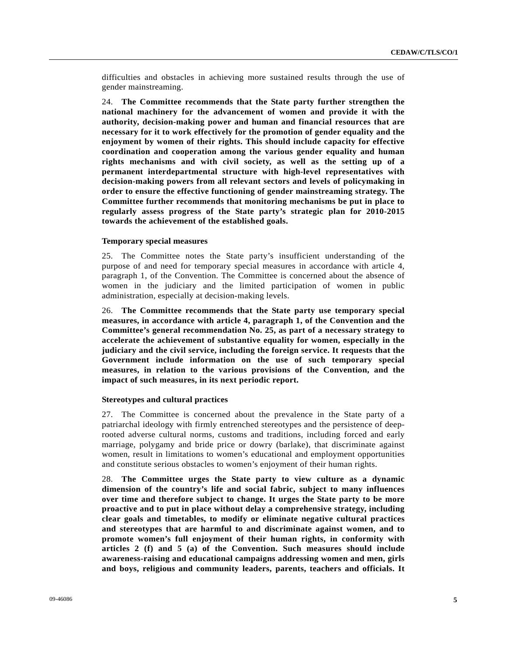difficulties and obstacles in achieving more sustained results through the use of gender mainstreaming.

24. **The Committee recommends that the State party further strengthen the national machinery for the advancement of women and provide it with the authority, decision-making power and human and financial resources that are necessary for it to work effectively for the promotion of gender equality and the enjoyment by women of their rights. This should include capacity for effective coordination and cooperation among the various gender equality and human rights mechanisms and with civil society, as well as the setting up of a permanent interdepartmental structure with high-level representatives with decision-making powers from all relevant sectors and levels of policymaking in order to ensure the effective functioning of gender mainstreaming strategy. The Committee further recommends that monitoring mechanisms be put in place to regularly assess progress of the State party's strategic plan for 2010-2015 towards the achievement of the established goals.**

## **Temporary special measures**

25. The Committee notes the State party's insufficient understanding of the purpose of and need for temporary special measures in accordance with article 4, paragraph 1, of the Convention. The Committee is concerned about the absence of women in the judiciary and the limited participation of women in public administration, especially at decision-making levels.

26. **The Committee recommends that the State party use temporary special measures, in accordance with article 4, paragraph 1, of the Convention and the Committee's general recommendation No. 25, as part of a necessary strategy to accelerate the achievement of substantive equality for women, especially in the judiciary and the civil service, including the foreign service. It requests that the Government include information on the use of such temporary special measures, in relation to the various provisions of the Convention, and the impact of such measures, in its next periodic report.**

### **Stereotypes and cultural practices**

27. The Committee is concerned about the prevalence in the State party of a patriarchal ideology with firmly entrenched stereotypes and the persistence of deeprooted adverse cultural norms, customs and traditions, including forced and early marriage, polygamy and bride price or dowry (barlake), that discriminate against women, result in limitations to women's educational and employment opportunities and constitute serious obstacles to women's enjoyment of their human rights.

28. **The Committee urges the State party to view culture as a dynamic dimension of the country's life and social fabric, subject to many influences over time and therefore subject to change. It urges the State party to be more proactive and to put in place without delay a comprehensive strategy, including clear goals and timetables, to modify or eliminate negative cultural practices and stereotypes that are harmful to and discriminate against women, and to promote women's full enjoyment of their human rights, in conformity with articles 2 (f) and 5 (a) of the Convention. Such measures should include awareness-raising and educational campaigns addressing women and men, girls and boys, religious and community leaders, parents, teachers and officials. It**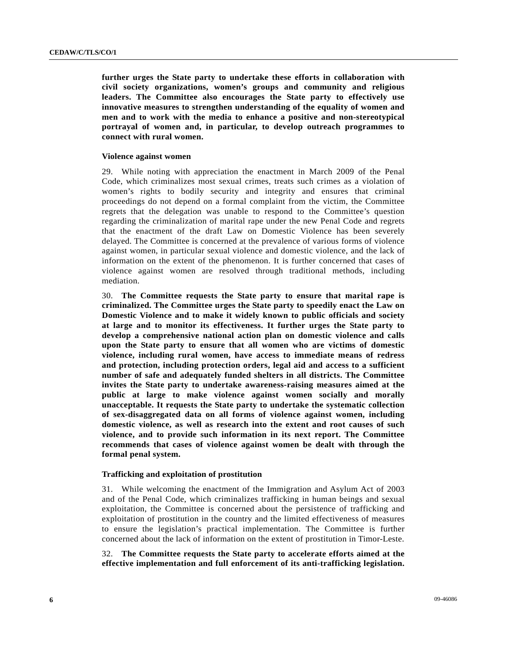**further urges the State party to undertake these efforts in collaboration with civil society organizations, women's groups and community and religious leaders. The Committee also encourages the State party to effectively use innovative measures to strengthen understanding of the equality of women and men and to work with the media to enhance a positive and non-stereotypical portrayal of women and, in particular, to develop outreach programmes to connect with rural women.**

## **Violence against women**

29. While noting with appreciation the enactment in March 2009 of the Penal Code, which criminalizes most sexual crimes, treats such crimes as a violation of women's rights to bodily security and integrity and ensures that criminal proceedings do not depend on a formal complaint from the victim, the Committee regrets that the delegation was unable to respond to the Committee's question regarding the criminalization of marital rape under the new Penal Code and regrets that the enactment of the draft Law on Domestic Violence has been severely delayed. The Committee is concerned at the prevalence of various forms of violence against women, in particular sexual violence and domestic violence, and the lack of information on the extent of the phenomenon. It is further concerned that cases of violence against women are resolved through traditional methods, including mediation.

30. **The Committee requests the State party to ensure that marital rape is criminalized. The Committee urges the State party to speedily enact the Law on Domestic Violence and to make it widely known to public officials and society at large and to monitor its effectiveness. It further urges the State party to develop a comprehensive national action plan on domestic violence and calls upon the State party to ensure that all women who are victims of domestic violence, including rural women, have access to immediate means of redress and protection, including protection orders, legal aid and access to a sufficient number of safe and adequately funded shelters in all districts. The Committee invites the State party to undertake awareness-raising measures aimed at the public at large to make violence against women socially and morally unacceptable. It requests the State party to undertake the systematic collection of sex-disaggregated data on all forms of violence against women, including domestic violence, as well as research into the extent and root causes of such violence, and to provide such information in its next report. The Committee recommends that cases of violence against women be dealt with through the formal penal system.**

## **Trafficking and exploitation of prostitution**

31. While welcoming the enactment of the Immigration and Asylum Act of 2003 and of the Penal Code, which criminalizes trafficking in human beings and sexual exploitation, the Committee is concerned about the persistence of trafficking and exploitation of prostitution in the country and the limited effectiveness of measures to ensure the legislation's practical implementation. The Committee is further concerned about the lack of information on the extent of prostitution in Timor-Leste.

32. **The Committee requests the State party to accelerate efforts aimed at the effective implementation and full enforcement of its anti-trafficking legislation.**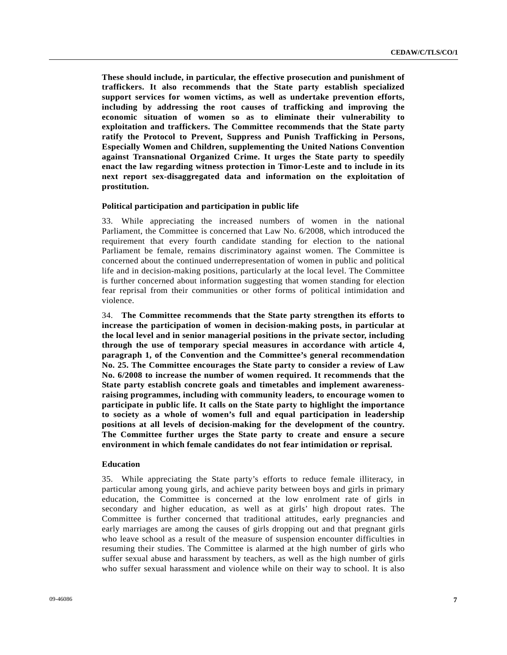**These should include, in particular, the effective prosecution and punishment of traffickers. It also recommends that the State party establish specialized support services for women victims, as well as undertake prevention efforts, including by addressing the root causes of trafficking and improving the economic situation of women so as to eliminate their vulnerability to exploitation and traffickers. The Committee recommends that the State party ratify the Protocol to Prevent, Suppress and Punish Trafficking in Persons, Especially Women and Children, supplementing the United Nations Convention against Transnational Organized Crime. It urges the State party to speedily enact the law regarding witness protection in Timor-Leste and to include in its next report sex-disaggregated data and information on the exploitation of prostitution.**

## **Political participation and participation in public life**

33. While appreciating the increased numbers of women in the national Parliament, the Committee is concerned that Law No. 6/2008, which introduced the requirement that every fourth candidate standing for election to the national Parliament be female, remains discriminatory against women. The Committee is concerned about the continued underrepresentation of women in public and political life and in decision-making positions, particularly at the local level. The Committee is further concerned about information suggesting that women standing for election fear reprisal from their communities or other forms of political intimidation and violence.

34. **The Committee recommends that the State party strengthen its efforts to increase the participation of women in decision-making posts, in particular at the local level and in senior managerial positions in the private sector, including through the use of temporary special measures in accordance with article 4, paragraph 1, of the Convention and the Committee's general recommendation No. 25. The Committee encourages the State party to consider a review of Law No. 6/2008 to increase the number of women required. It recommends that the State party establish concrete goals and timetables and implement awarenessraising programmes, including with community leaders, to encourage women to participate in public life. It calls on the State party to highlight the importance to society as a whole of women's full and equal participation in leadership positions at all levels of decision-making for the development of the country. The Committee further urges the State party to create and ensure a secure environment in which female candidates do not fear intimidation or reprisal.** 

## **Education**

35. While appreciating the State party's efforts to reduce female illiteracy, in particular among young girls, and achieve parity between boys and girls in primary education, the Committee is concerned at the low enrolment rate of girls in secondary and higher education, as well as at girls' high dropout rates. The Committee is further concerned that traditional attitudes, early pregnancies and early marriages are among the causes of girls dropping out and that pregnant girls who leave school as a result of the measure of suspension encounter difficulties in resuming their studies. The Committee is alarmed at the high number of girls who suffer sexual abuse and harassment by teachers, as well as the high number of girls who suffer sexual harassment and violence while on their way to school. It is also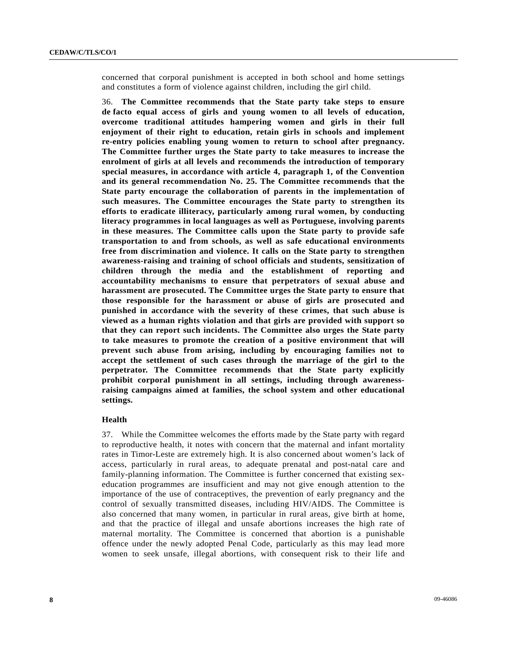concerned that corporal punishment is accepted in both school and home settings and constitutes a form of violence against children, including the girl child.

36. **The Committee recommends that the State party take steps to ensure de facto equal access of girls and young women to all levels of education, overcome traditional attitudes hampering women and girls in their full enjoyment of their right to education, retain girls in schools and implement re-entry policies enabling young women to return to school after pregnancy. The Committee further urges the State party to take measures to increase the enrolment of girls at all levels and recommends the introduction of temporary special measures, in accordance with article 4, paragraph 1, of the Convention and its general recommendation No. 25. The Committee recommends that the State party encourage the collaboration of parents in the implementation of such measures. The Committee encourages the State party to strengthen its efforts to eradicate illiteracy, particularly among rural women, by conducting literacy programmes in local languages as well as Portuguese, involving parents in these measures. The Committee calls upon the State party to provide safe transportation to and from schools, as well as safe educational environments free from discrimination and violence. It calls on the State party to strengthen awareness-raising and training of school officials and students, sensitization of children through the media and the establishment of reporting and accountability mechanisms to ensure that perpetrators of sexual abuse and harassment are prosecuted. The Committee urges the State party to ensure that those responsible for the harassment or abuse of girls are prosecuted and punished in accordance with the severity of these crimes, that such abuse is viewed as a human rights violation and that girls are provided with support so that they can report such incidents. The Committee also urges the State party to take measures to promote the creation of a positive environment that will prevent such abuse from arising, including by encouraging families not to accept the settlement of such cases through the marriage of the girl to the perpetrator. The Committee recommends that the State party explicitly prohibit corporal punishment in all settings, including through awarenessraising campaigns aimed at families, the school system and other educational settings.** 

### **Health**

37. While the Committee welcomes the efforts made by the State party with regard to reproductive health, it notes with concern that the maternal and infant mortality rates in Timor-Leste are extremely high. It is also concerned about women's lack of access, particularly in rural areas, to adequate prenatal and post-natal care and family-planning information. The Committee is further concerned that existing sexeducation programmes are insufficient and may not give enough attention to the importance of the use of contraceptives, the prevention of early pregnancy and the control of sexually transmitted diseases, including HIV/AIDS. The Committee is also concerned that many women, in particular in rural areas, give birth at home, and that the practice of illegal and unsafe abortions increases the high rate of maternal mortality. The Committee is concerned that abortion is a punishable offence under the newly adopted Penal Code, particularly as this may lead more women to seek unsafe, illegal abortions, with consequent risk to their life and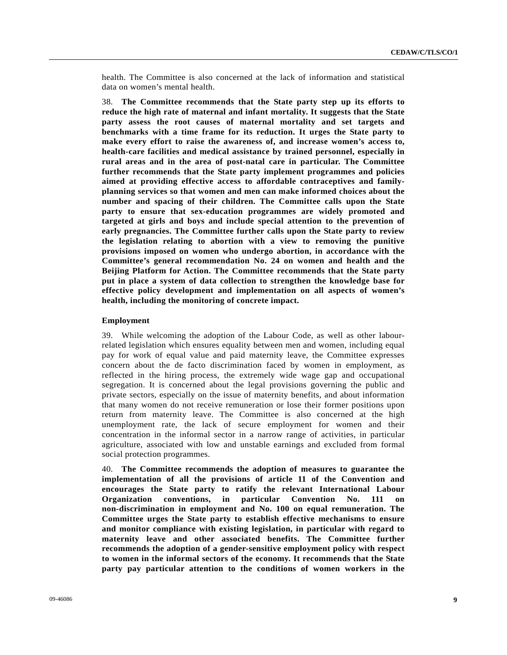health. The Committee is also concerned at the lack of information and statistical data on women's mental health.

38. **The Committee recommends that the State party step up its efforts to reduce the high rate of maternal and infant mortality. It suggests that the State party assess the root causes of maternal mortality and set targets and benchmarks with a time frame for its reduction. It urges the State party to make every effort to raise the awareness of, and increase women's access to, health-care facilities and medical assistance by trained personnel, especially in rural areas and in the area of post-natal care in particular. The Committee further recommends that the State party implement programmes and policies aimed at providing effective access to affordable contraceptives and familyplanning services so that women and men can make informed choices about the number and spacing of their children. The Committee calls upon the State party to ensure that sex-education programmes are widely promoted and targeted at girls and boys and include special attention to the prevention of early pregnancies. The Committee further calls upon the State party to review the legislation relating to abortion with a view to removing the punitive provisions imposed on women who undergo abortion, in accordance with the Committee's general recommendation No. 24 on women and health and the Beijing Platform for Action. The Committee recommends that the State party put in place a system of data collection to strengthen the knowledge base for effective policy development and implementation on all aspects of women's health, including the monitoring of concrete impact.** 

## **Employment**

39. While welcoming the adoption of the Labour Code, as well as other labourrelated legislation which ensures equality between men and women, including equal pay for work of equal value and paid maternity leave, the Committee expresses concern about the de facto discrimination faced by women in employment, as reflected in the hiring process, the extremely wide wage gap and occupational segregation. It is concerned about the legal provisions governing the public and private sectors, especially on the issue of maternity benefits, and about information that many women do not receive remuneration or lose their former positions upon return from maternity leave. The Committee is also concerned at the high unemployment rate, the lack of secure employment for women and their concentration in the informal sector in a narrow range of activities, in particular agriculture, associated with low and unstable earnings and excluded from formal social protection programmes.

40. **The Committee recommends the adoption of measures to guarantee the implementation of all the provisions of article 11 of the Convention and encourages the State party to ratify the relevant International Labour Organization conventions, in particular Convention No. 111 on non-discrimination in employment and No. 100 on equal remuneration. The Committee urges the State party to establish effective mechanisms to ensure and monitor compliance with existing legislation, in particular with regard to maternity leave and other associated benefits. The Committee further recommends the adoption of a gender-sensitive employment policy with respect to women in the informal sectors of the economy. It recommends that the State party pay particular attention to the conditions of women workers in the**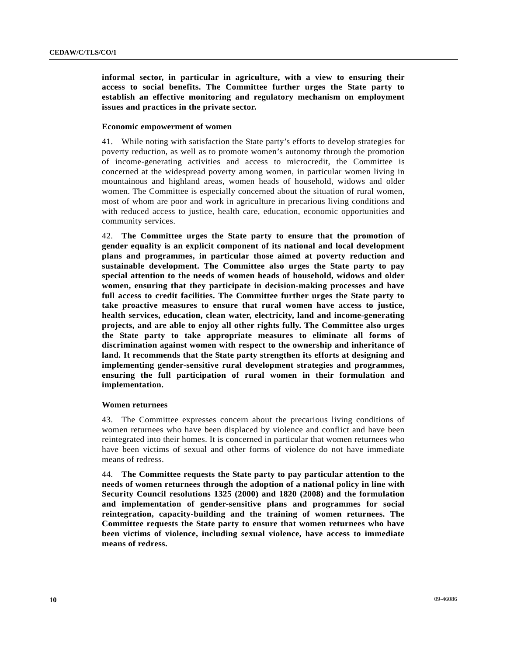**informal sector, in particular in agriculture, with a view to ensuring their access to social benefits. The Committee further urges the State party to establish an effective monitoring and regulatory mechanism on employment issues and practices in the private sector.** 

## **Economic empowerment of women**

41. While noting with satisfaction the State party's efforts to develop strategies for poverty reduction, as well as to promote women's autonomy through the promotion of income-generating activities and access to microcredit, the Committee is concerned at the widespread poverty among women, in particular women living in mountainous and highland areas, women heads of household, widows and older women. The Committee is especially concerned about the situation of rural women, most of whom are poor and work in agriculture in precarious living conditions and with reduced access to justice, health care, education, economic opportunities and community services.

42. **The Committee urges the State party to ensure that the promotion of gender equality is an explicit component of its national and local development plans and programmes, in particular those aimed at poverty reduction and sustainable development. The Committee also urges the State party to pay special attention to the needs of women heads of household, widows and older women, ensuring that they participate in decision-making processes and have full access to credit facilities. The Committee further urges the State party to take proactive measures to ensure that rural women have access to justice, health services, education, clean water, electricity, land and income-generating projects, and are able to enjoy all other rights fully. The Committee also urges the State party to take appropriate measures to eliminate all forms of discrimination against women with respect to the ownership and inheritance of land. It recommends that the State party strengthen its efforts at designing and implementing gender-sensitive rural development strategies and programmes, ensuring the full participation of rural women in their formulation and implementation.** 

## **Women returnees**

43. The Committee expresses concern about the precarious living conditions of women returnees who have been displaced by violence and conflict and have been reintegrated into their homes. It is concerned in particular that women returnees who have been victims of sexual and other forms of violence do not have immediate means of redress.

44. **The Committee requests the State party to pay particular attention to the needs of women returnees through the adoption of a national policy in line with Security Council resolutions 1325 (2000) and 1820 (2008) and the formulation and implementation of gender-sensitive plans and programmes for social reintegration, capacity-building and the training of women returnees. The Committee requests the State party to ensure that women returnees who have been victims of violence, including sexual violence, have access to immediate means of redress.**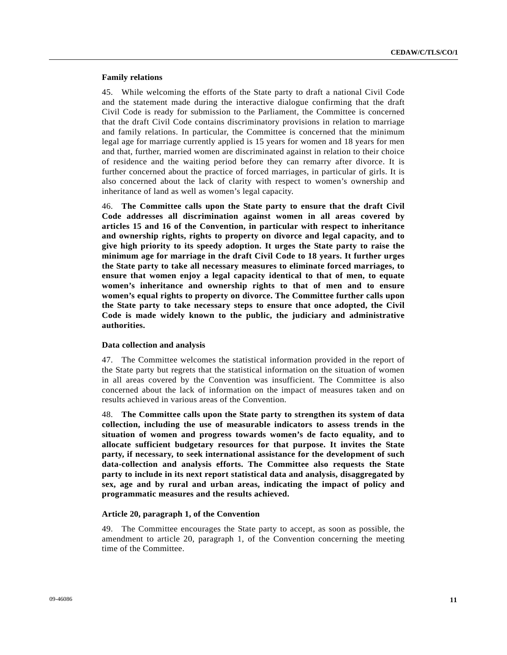## **Family relations**

45. While welcoming the efforts of the State party to draft a national Civil Code and the statement made during the interactive dialogue confirming that the draft Civil Code is ready for submission to the Parliament, the Committee is concerned that the draft Civil Code contains discriminatory provisions in relation to marriage and family relations. In particular, the Committee is concerned that the minimum legal age for marriage currently applied is 15 years for women and 18 years for men and that, further, married women are discriminated against in relation to their choice of residence and the waiting period before they can remarry after divorce. It is further concerned about the practice of forced marriages, in particular of girls. It is also concerned about the lack of clarity with respect to women's ownership and inheritance of land as well as women's legal capacity.

46. **The Committee calls upon the State party to ensure that the draft Civil Code addresses all discrimination against women in all areas covered by articles 15 and 16 of the Convention, in particular with respect to inheritance and ownership rights, rights to property on divorce and legal capacity, and to give high priority to its speedy adoption. It urges the State party to raise the minimum age for marriage in the draft Civil Code to 18 years. It further urges the State party to take all necessary measures to eliminate forced marriages, to ensure that women enjoy a legal capacity identical to that of men, to equate women's inheritance and ownership rights to that of men and to ensure women's equal rights to property on divorce. The Committee further calls upon the State party to take necessary steps to ensure that once adopted, the Civil Code is made widely known to the public, the judiciary and administrative authorities.**

## **Data collection and analysis**

47. The Committee welcomes the statistical information provided in the report of the State party but regrets that the statistical information on the situation of women in all areas covered by the Convention was insufficient. The Committee is also concerned about the lack of information on the impact of measures taken and on results achieved in various areas of the Convention.

48. **The Committee calls upon the State party to strengthen its system of data collection, including the use of measurable indicators to assess trends in the situation of women and progress towards women's de facto equality, and to allocate sufficient budgetary resources for that purpose. It invites the State party, if necessary, to seek international assistance for the development of such data-collection and analysis efforts. The Committee also requests the State party to include in its next report statistical data and analysis, disaggregated by sex, age and by rural and urban areas, indicating the impact of policy and programmatic measures and the results achieved.** 

## **Article 20, paragraph 1, of the Convention**

49. The Committee encourages the State party to accept, as soon as possible, the amendment to article 20, paragraph 1, of the Convention concerning the meeting time of the Committee.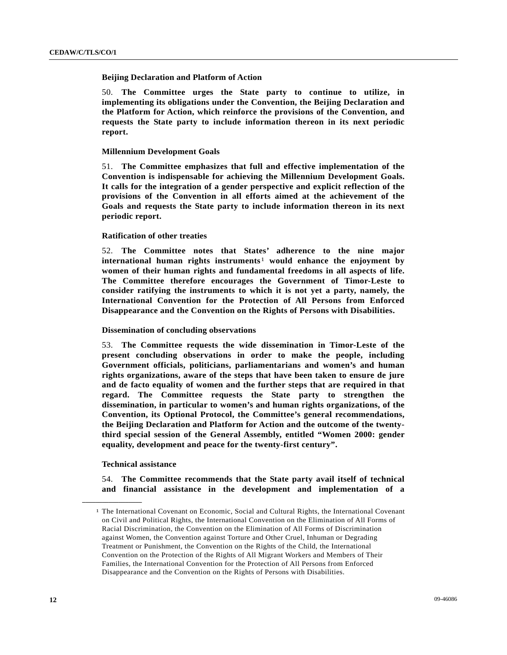## **Beijing Declaration and Platform of Action**

50. **The Committee urges the State party to continue to utilize, in implementing its obligations under the Convention, the Beijing Declaration and the Platform for Action, which reinforce the provisions of the Convention, and requests the State party to include information thereon in its next periodic report.** 

## **Millennium Development Goals**

51. **The Committee emphasizes that full and effective implementation of the Convention is indispensable for achieving the Millennium Development Goals. It calls for the integration of a gender perspective and explicit reflection of the provisions of the Convention in all efforts aimed at the achievement of the Goals and requests the State party to include information thereon in its next periodic report.** 

## **Ratification of other treaties**

52. **The Committee notes that States' adherence to the nine major international human rights instruments**[1](#page-11-0) **would enhance the enjoyment by women of their human rights and fundamental freedoms in all aspects of life. The Committee therefore encourages the Government of Timor-Leste to consider ratifying the instruments to which it is not yet a party, namely, the International Convention for the Protection of All Persons from Enforced Disappearance and the Convention on the Rights of Persons with Disabilities.** 

## **Dissemination of concluding observations**

53. **The Committee requests the wide dissemination in Timor-Leste of the present concluding observations in order to make the people, including Government officials, politicians, parliamentarians and women's and human rights organizations, aware of the steps that have been taken to ensure de jure and de facto equality of women and the further steps that are required in that regard. The Committee requests the State party to strengthen the dissemination, in particular to women's and human rights organizations, of the Convention, its Optional Protocol, the Committee's general recommendations, the Beijing Declaration and Platform for Action and the outcome of the twentythird special session of the General Assembly, entitled "Women 2000: gender equality, development and peace for the twenty-first century".** 

#### **Technical assistance**

<span id="page-11-0"></span>**\_\_\_\_\_\_\_\_\_\_\_\_\_\_\_\_\_\_** 

54. **The Committee recommends that the State party avail itself of technical and financial assistance in the development and implementation of a** 

<sup>1</sup> The International Covenant on Economic, Social and Cultural Rights, the International Covenant on Civil and Political Rights, the International Convention on the Elimination of All Forms of Racial Discrimination, the Convention on the Elimination of All Forms of Discrimination against Women, the Convention against Torture and Other Cruel, Inhuman or Degrading Treatment or Punishment, the Convention on the Rights of the Child, the International Convention on the Protection of the Rights of All Migrant Workers and Members of Their Families, the International Convention for the Protection of All Persons from Enforced Disappearance and the Convention on the Rights of Persons with Disabilities.